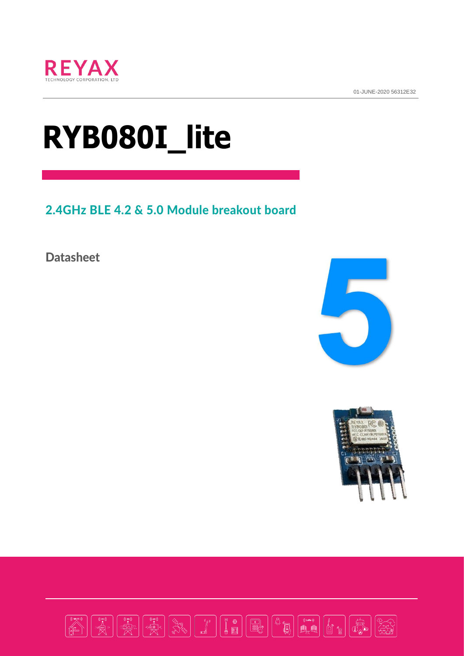

01-JUNE-2020 56312E32

# RYB080I\_lite

2.4GHz BLE 4.2 & 5.0 Module breakout board

**Datasheet** 





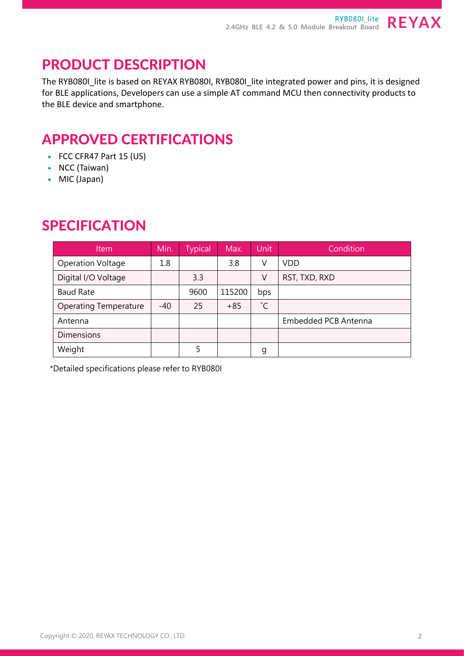#### PRODUCT DESCRIPTION

The RYB080I lite is based on REYAX RYB080I, RYB080I lite integrated power and pins, it is designed for BLE applications, Developers can use a simple AT command MCU then connectivity products to the BLE device and smartphone.

## APPROVED CERTIFICATIONS

- FCC CFR47 Part 15 (US)
- NCC (Taiwan)
- MIC (Japan)

# **SPECIFICATION**

| <b>Item</b>                  | Min.  | <b>Typical</b> | Max.   | Unit         | Condition            |
|------------------------------|-------|----------------|--------|--------------|----------------------|
| <b>Operation Voltage</b>     | 1.8   |                | 3.8    | V            | VDD                  |
| Digital I/O Voltage          |       | 3.3            |        | ٧            | RST, TXD, RXD        |
| <b>Baud Rate</b>             |       | 9600           | 115200 | bps          |                      |
| <b>Operating Temperature</b> | $-40$ | 25             | $+85$  | $^{\circ}$ C |                      |
| Antenna                      |       |                |        |              | Embedded PCB Antenna |
| <b>Dimensions</b>            |       |                |        |              |                      |
| Weight                       |       | 5              |        | g            |                      |

\*Detailed specifications please refer to RYB080I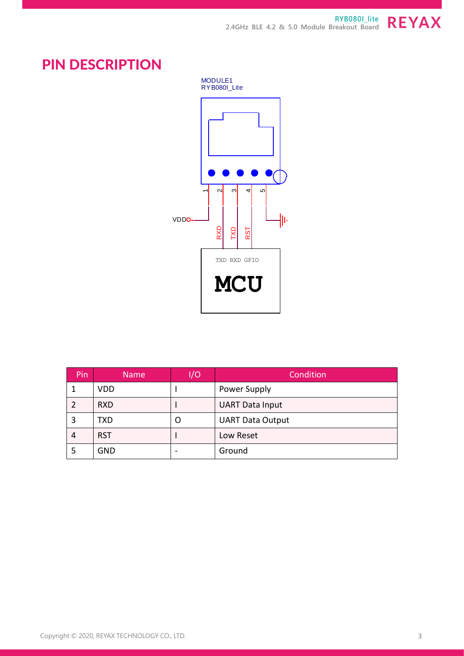**RYB080I\_lite 2.4GHz BLE 4.2 & 5.0 Module Breakout Board**



### PIN DESCRIPTION

MODULE1 RYB080I\_Lite



| Pin. | <b>Name</b> | 1/O | Condition               |
|------|-------------|-----|-------------------------|
| 1    | <b>VDD</b>  |     | Power Supply            |
| 2    | <b>RXD</b>  |     | <b>UART Data Input</b>  |
| 3    | TXD         | ( ) | <b>UART Data Output</b> |
| 4    | <b>RST</b>  |     | Low Reset               |
| 5    | <b>GND</b>  |     | Ground                  |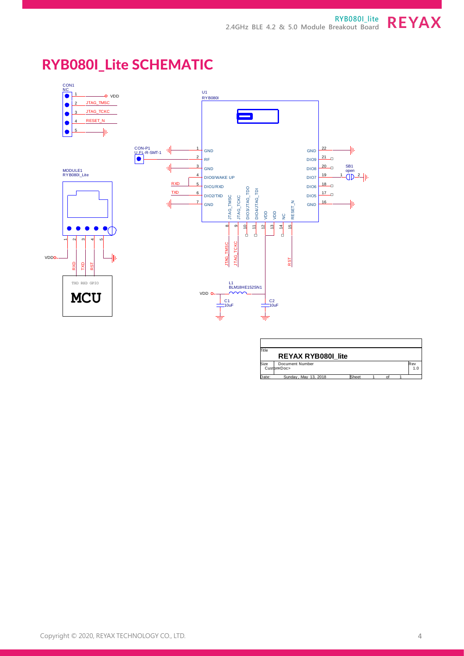# RYB080I\_Lite SCHEMATIC



| Title                     |                      |       |  |  |  |     |  |  |  |  |
|---------------------------|----------------------|-------|--|--|--|-----|--|--|--|--|
| <b>REYAX RYB080I lite</b> |                      |       |  |  |  |     |  |  |  |  |
| Size                      | Document Number      |       |  |  |  | Rev |  |  |  |  |
|                           | Custom Doc>          |       |  |  |  | 1.0 |  |  |  |  |
| Date:                     | Sunday, May 13, 2018 | Sheet |  |  |  |     |  |  |  |  |